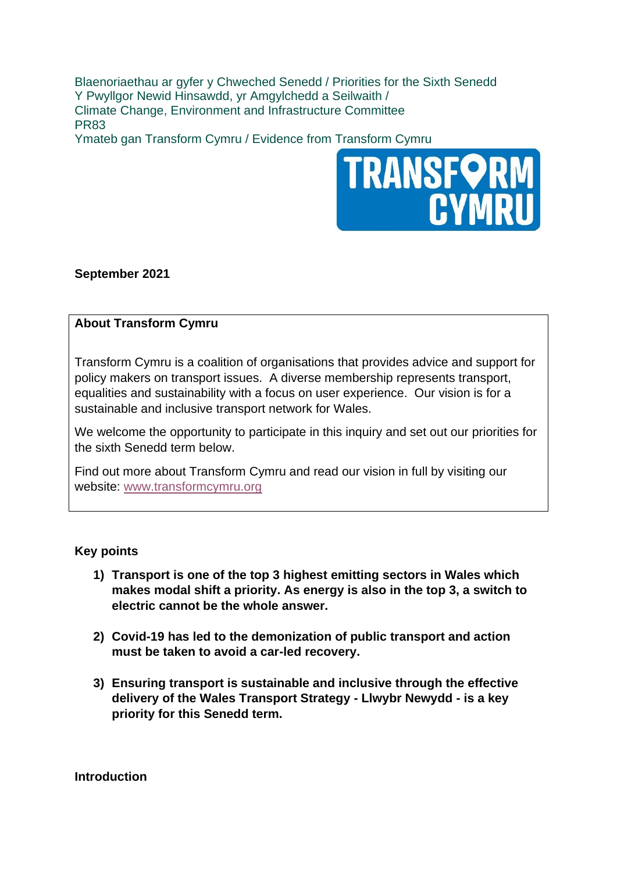Blaenoriaethau ar gyfer y Chweched Senedd / Priorities for the Sixth Senedd Y Pwyllgor Newid Hinsawdd, yr Amgylchedd a Seilwaith / Climate Change, Environment and Infrastructure Committee PR83

Ymateb gan Transform Cymru / Evidence from Transform Cymru



# **September 2021**

# **About Transform Cymru**

Transform Cymru is a coalition of organisations that provides advice and support for policy makers on transport issues. A diverse membership represents transport, equalities and sustainability with a focus on user experience. Our vision is for a sustainable and inclusive transport network for Wales.

We welcome the opportunity to participate in this inquiry and set out our priorities for the sixth Senedd term below.

Find out more about Transform Cymru and read our vision in full by visiting our website: [www.transformcymru.org](http://www.transformcymru.org/)

### **Key points**

- **1) Transport is one of the top 3 highest emitting sectors in Wales which makes modal shift a priority. As energy is also in the top 3, a switch to electric cannot be the whole answer.**
- **2) Covid-19 has led to the demonization of public transport and action must be taken to avoid a car-led recovery.**
- **3) Ensuring transport is sustainable and inclusive through the effective delivery of the Wales Transport Strategy - Llwybr Newydd - is a key priority for this Senedd term.**

**Introduction**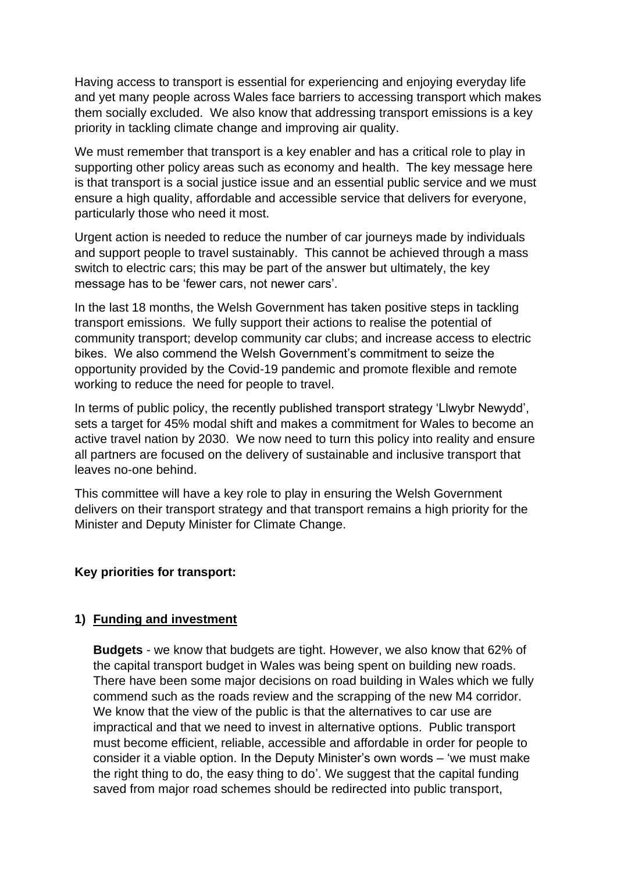Having access to transport is essential for experiencing and enjoying everyday life and yet many people across Wales face barriers to accessing transport which makes them socially excluded. We also know that addressing transport emissions is a key priority in tackling climate change and improving air quality.

We must remember that transport is a key enabler and has a critical role to play in supporting other policy areas such as economy and health. The key message here is that transport is a social justice issue and an essential public service and we must ensure a high quality, affordable and accessible service that delivers for everyone, particularly those who need it most.

Urgent action is needed to reduce the number of car journeys made by individuals and support people to travel sustainably. This cannot be achieved through a mass switch to electric cars; this may be part of the answer but ultimately, the key message has to be 'fewer cars, not newer cars'.

In the last 18 months, the Welsh Government has taken positive steps in tackling transport emissions. We fully support their actions to realise the potential of community transport; develop community car clubs; and increase access to electric bikes. We also commend the Welsh Government's commitment to seize the opportunity provided by the Covid-19 pandemic and promote flexible and remote working to reduce the need for people to travel.

In terms of public policy, the recently published transport strategy 'Llwybr Newydd', sets a target for 45% modal shift and makes a commitment for Wales to become an active travel nation by 2030. We now need to turn this policy into reality and ensure all partners are focused on the delivery of sustainable and inclusive transport that leaves no-one behind.

This committee will have a key role to play in ensuring the Welsh Government delivers on their transport strategy and that transport remains a high priority for the Minister and Deputy Minister for Climate Change.

### **Key priorities for transport:**

### **1) Funding and investment**

**Budgets** - we know that budgets are tight. However, we also know that 62% of the capital transport budget in Wales was being spent on building new roads. There have been some major decisions on road building in Wales which we fully commend such as the roads review and the scrapping of the new M4 corridor. We know that the view of the public is that the alternatives to car use are impractical and that we need to invest in alternative options. Public transport must become efficient, reliable, accessible and affordable in order for people to consider it a viable option. In the Deputy Minister's own words – 'we must make the right thing to do, the easy thing to do'. We suggest that the capital funding saved from major road schemes should be redirected into public transport,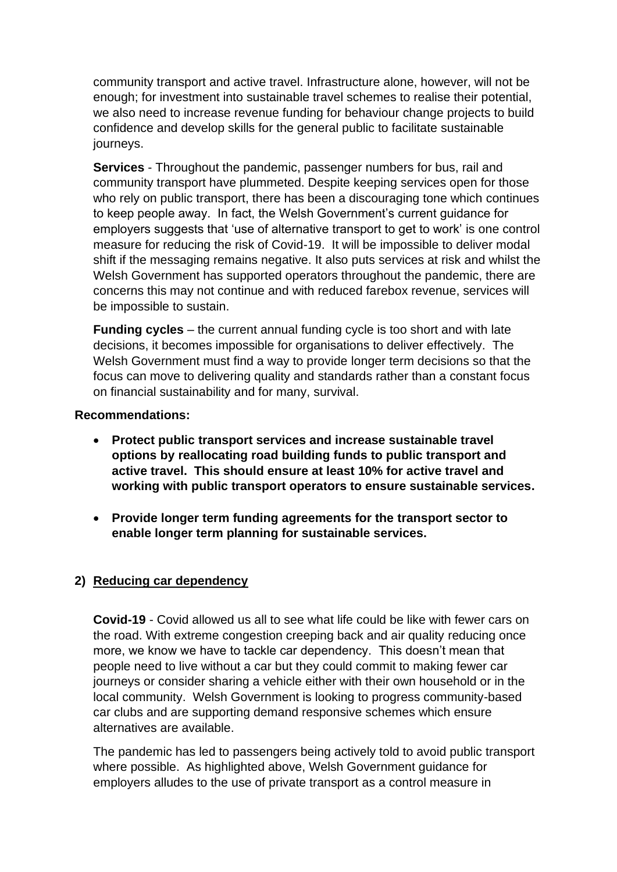community transport and active travel. Infrastructure alone, however, will not be enough; for investment into sustainable travel schemes to realise their potential, we also need to increase revenue funding for behaviour change projects to build confidence and develop skills for the general public to facilitate sustainable journeys.

**Services** - Throughout the pandemic, passenger numbers for bus, rail and community transport have plummeted. Despite keeping services open for those who rely on public transport, there has been a discouraging tone which continues to keep people away. In fact, the Welsh Government's current guidance for employers suggests that 'use of alternative transport to get to work' is one control measure for reducing the risk of Covid-19. It will be impossible to deliver modal shift if the messaging remains negative. It also puts services at risk and whilst the Welsh Government has supported operators throughout the pandemic, there are concerns this may not continue and with reduced farebox revenue, services will be impossible to sustain.

**Funding cycles** – the current annual funding cycle is too short and with late decisions, it becomes impossible for organisations to deliver effectively. The Welsh Government must find a way to provide longer term decisions so that the focus can move to delivering quality and standards rather than a constant focus on financial sustainability and for many, survival.

## **Recommendations:**

- **Protect public transport services and increase sustainable travel options by reallocating road building funds to public transport and active travel. This should ensure at least 10% for active travel and working with public transport operators to ensure sustainable services.**
- **Provide longer term funding agreements for the transport sector to enable longer term planning for sustainable services.**

# **2) Reducing car dependency**

**Covid-19** - Covid allowed us all to see what life could be like with fewer cars on the road. With extreme congestion creeping back and air quality reducing once more, we know we have to tackle car dependency. This doesn't mean that people need to live without a car but they could commit to making fewer car journeys or consider sharing a vehicle either with their own household or in the local community. Welsh Government is looking to progress community-based car clubs and are supporting demand responsive schemes which ensure alternatives are available.

The pandemic has led to passengers being actively told to avoid public transport where possible. As highlighted above, Welsh Government guidance for employers alludes to the use of private transport as a control measure in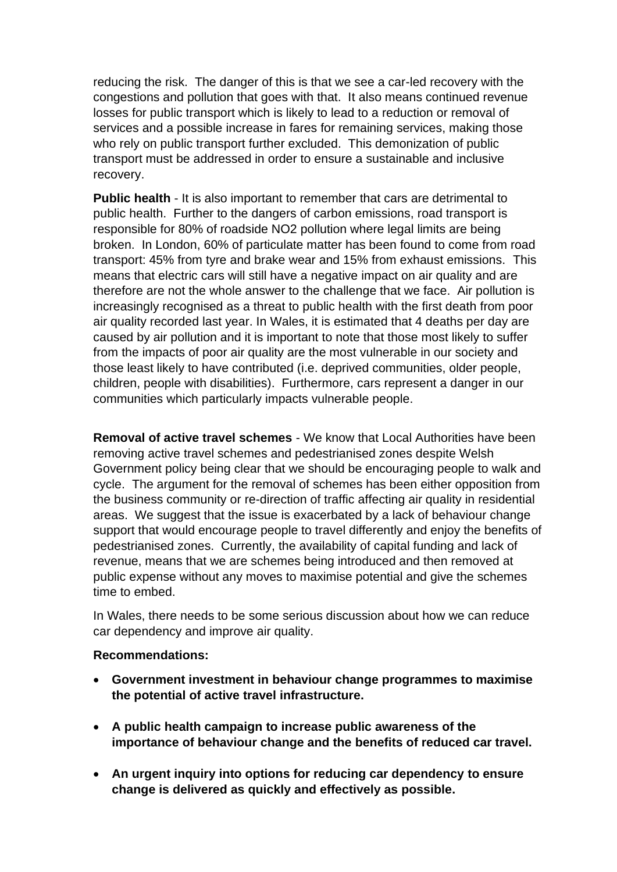reducing the risk. The danger of this is that we see a car-led recovery with the congestions and pollution that goes with that. It also means continued revenue losses for public transport which is likely to lead to a reduction or removal of services and a possible increase in fares for remaining services, making those who rely on public transport further excluded. This demonization of public transport must be addressed in order to ensure a sustainable and inclusive recovery.

**Public health** - It is also important to remember that cars are detrimental to public health. Further to the dangers of carbon emissions, road transport is responsible for 80% of roadside NO2 pollution where legal limits are being broken. In London, 60% of particulate matter has been found to come from road transport: 45% from tyre and brake wear and 15% from exhaust emissions. This means that electric cars will still have a negative impact on air quality and are therefore are not the whole answer to the challenge that we face. Air pollution is increasingly recognised as a threat to public health with the first death from poor air quality recorded last year. In Wales, it is estimated that 4 deaths per day are caused by air pollution and it is important to note that those most likely to suffer from the impacts of poor air quality are the most vulnerable in our society and those least likely to have contributed (i.e. deprived communities, older people, children, people with disabilities). Furthermore, cars represent a danger in our communities which particularly impacts vulnerable people.

**Removal of active travel schemes** - We know that Local Authorities have been removing active travel schemes and pedestrianised zones despite Welsh Government policy being clear that we should be encouraging people to walk and cycle. The argument for the removal of schemes has been either opposition from the business community or re-direction of traffic affecting air quality in residential areas. We suggest that the issue is exacerbated by a lack of behaviour change support that would encourage people to travel differently and enjoy the benefits of pedestrianised zones. Currently, the availability of capital funding and lack of revenue, means that we are schemes being introduced and then removed at public expense without any moves to maximise potential and give the schemes time to embed.

In Wales, there needs to be some serious discussion about how we can reduce car dependency and improve air quality.

### **Recommendations:**

- **Government investment in behaviour change programmes to maximise the potential of active travel infrastructure.**
- **A public health campaign to increase public awareness of the importance of behaviour change and the benefits of reduced car travel.**
- **An urgent inquiry into options for reducing car dependency to ensure change is delivered as quickly and effectively as possible.**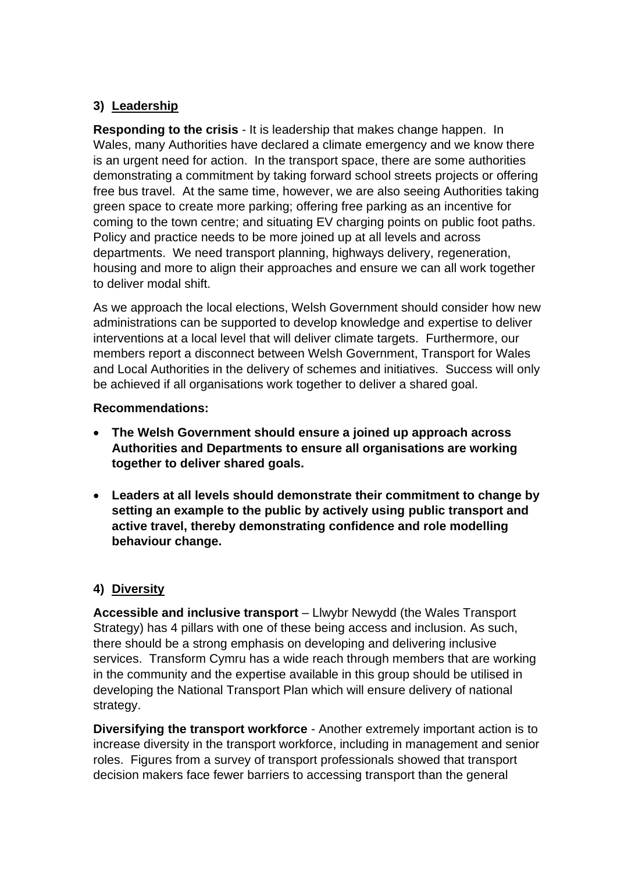# **3) Leadership**

**Responding to the crisis** - It is leadership that makes change happen. In Wales, many Authorities have declared a climate emergency and we know there is an urgent need for action. In the transport space, there are some authorities demonstrating a commitment by taking forward school streets projects or offering free bus travel. At the same time, however, we are also seeing Authorities taking green space to create more parking; offering free parking as an incentive for coming to the town centre; and situating EV charging points on public foot paths. Policy and practice needs to be more joined up at all levels and across departments. We need transport planning, highways delivery, regeneration, housing and more to align their approaches and ensure we can all work together to deliver modal shift.

As we approach the local elections, Welsh Government should consider how new administrations can be supported to develop knowledge and expertise to deliver interventions at a local level that will deliver climate targets. Furthermore, our members report a disconnect between Welsh Government, Transport for Wales and Local Authorities in the delivery of schemes and initiatives. Success will only be achieved if all organisations work together to deliver a shared goal.

## **Recommendations:**

- **The Welsh Government should ensure a joined up approach across Authorities and Departments to ensure all organisations are working together to deliver shared goals.**
- **Leaders at all levels should demonstrate their commitment to change by setting an example to the public by actively using public transport and active travel, thereby demonstrating confidence and role modelling behaviour change.**

# **4) Diversity**

**Accessible and inclusive transport** – Llwybr Newydd (the Wales Transport Strategy) has 4 pillars with one of these being access and inclusion. As such, there should be a strong emphasis on developing and delivering inclusive services. Transform Cymru has a wide reach through members that are working in the community and the expertise available in this group should be utilised in developing the National Transport Plan which will ensure delivery of national strategy.

**Diversifying the transport workforce** - Another extremely important action is to increase diversity in the transport workforce, including in management and senior roles. Figures from a survey of transport professionals showed that transport decision makers face fewer barriers to accessing transport than the general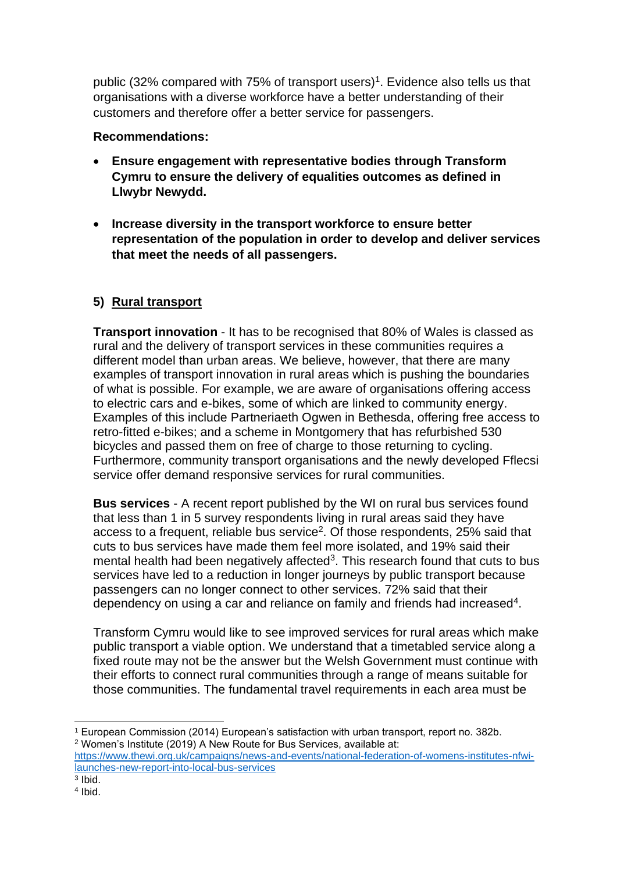public (32% compared with 75% of transport users)<sup>1</sup>. Evidence also tells us that organisations with a diverse workforce have a better understanding of their customers and therefore offer a better service for passengers.

## **Recommendations:**

- **Ensure engagement with representative bodies through Transform Cymru to ensure the delivery of equalities outcomes as defined in Llwybr Newydd.**
- **Increase diversity in the transport workforce to ensure better representation of the population in order to develop and deliver services that meet the needs of all passengers.**

# **5) Rural transport**

**Transport innovation** - It has to be recognised that 80% of Wales is classed as rural and the delivery of transport services in these communities requires a different model than urban areas. We believe, however, that there are many examples of transport innovation in rural areas which is pushing the boundaries of what is possible. For example, we are aware of organisations offering access to electric cars and e-bikes, some of which are linked to community energy. Examples of this include Partneriaeth Ogwen in Bethesda, offering free access to retro-fitted e-bikes; and a scheme in Montgomery that has refurbished 530 bicycles and passed them on free of charge to those returning to cycling. Furthermore, community transport organisations and the newly developed Fflecsi service offer demand responsive services for rural communities.

**Bus services** - A recent report published by the WI on rural bus services found that less than 1 in 5 survey respondents living in rural areas said they have access to a frequent, reliable bus service<sup>2</sup>. Of those respondents, 25% said that cuts to bus services have made them feel more isolated, and 19% said their mental health had been negatively affected<sup>3</sup>. This research found that cuts to bus services have led to a reduction in longer journeys by public transport because passengers can no longer connect to other services. 72% said that their dependency on using a car and reliance on family and friends had increased<sup>4</sup>.

Transform Cymru would like to see improved services for rural areas which make public transport a viable option. We understand that a timetabled service along a fixed route may not be the answer but the Welsh Government must continue with their efforts to connect rural communities through a range of means suitable for those communities. The fundamental travel requirements in each area must be

<sup>1</sup> European Commission (2014) European's satisfaction with urban transport, report no. 382b. <sup>2</sup> Women's Institute (2019) A New Route for Bus Services, available at: [https://www.thewi.org.uk/campaigns/news-and-events/national-federation-of-womens-institutes-nfwi-](https://www.thewi.org.uk/campaigns/news-and-events/national-federation-of-womens-institutes-nfwi-launches-new-report-into-local-bus-services)

[launches-new-report-into-local-bus-services](https://www.thewi.org.uk/campaigns/news-and-events/national-federation-of-womens-institutes-nfwi-launches-new-report-into-local-bus-services) 3 Ibid.

<sup>4</sup> Ibid.